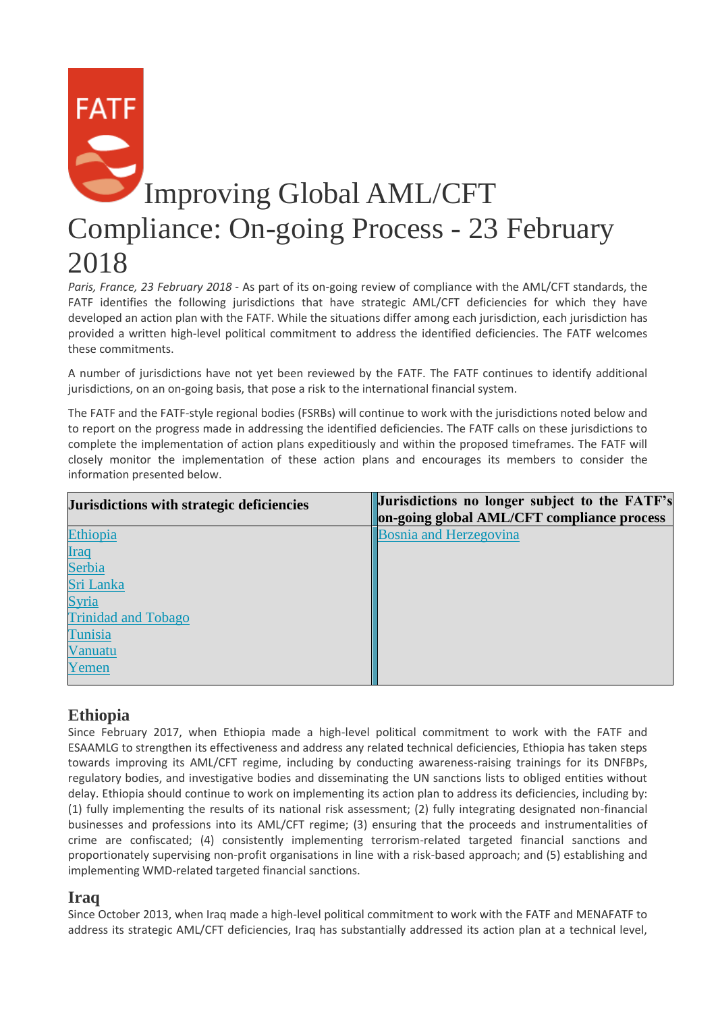

*Paris, France, 23 February 2018* - As part of its on-going review of compliance with the AML/CFT standards, the FATF identifies the following jurisdictions that have strategic AML/CFT deficiencies for which they have developed an action plan with the FATF. While the situations differ among each jurisdiction, each jurisdiction has provided a written high-level political commitment to address the identified deficiencies. The FATF welcomes these commitments.

A number of jurisdictions have not yet been reviewed by the FATF. The FATF continues to identify additional jurisdictions, on an on-going basis, that pose a risk to the international financial system.

The FATF and the FATF-style regional bodies (FSRBs) will continue to work with the jurisdictions noted below and to report on the progress made in addressing the identified deficiencies. The FATF calls on these jurisdictions to complete the implementation of action plans expeditiously and within the proposed timeframes. The FATF will closely monitor the implementation of these action plans and encourages its members to consider the information presented below.

| Jurisdictions with strategic deficiencies | Jurisdictions no longer subject to the FATF's<br>on-going global AML/CFT compliance process |
|-------------------------------------------|---------------------------------------------------------------------------------------------|
| Ethiopia                                  | <b>Bosnia and Herzegovina</b>                                                               |
| Iraq                                      |                                                                                             |
| Serbia                                    |                                                                                             |
| Sri Lanka                                 |                                                                                             |
| <b>Syria</b>                              |                                                                                             |
| <b>Trinidad and Tobago</b>                |                                                                                             |
| Tunisia                                   |                                                                                             |
| Vanuatu                                   |                                                                                             |
| Yemen                                     |                                                                                             |
|                                           |                                                                                             |

### **Ethiopia**

Since February 2017, when Ethiopia made a high-level political commitment to work with the FATF and ESAAMLG to strengthen its effectiveness and address any related technical deficiencies, Ethiopia has taken steps towards improving its AML/CFT regime, including by conducting awareness-raising trainings for its DNFBPs, regulatory bodies, and investigative bodies and disseminating the UN sanctions lists to obliged entities without delay. Ethiopia should continue to work on implementing its action plan to address its deficiencies, including by: (1) fully implementing the results of its national risk assessment; (2) fully integrating designated non-financial businesses and professions into its AML/CFT regime; (3) ensuring that the proceeds and instrumentalities of crime are confiscated; (4) consistently implementing terrorism-related targeted financial sanctions and proportionately supervising non-profit organisations in line with a risk-based approach; and (5) establishing and implementing WMD-related targeted financial sanctions.

### **Iraq**

Since October 2013, when Iraq made a high-level political commitment to work with the FATF and MENAFATF to address its strategic AML/CFT deficiencies, Iraq has substantially addressed its action plan at a technical level,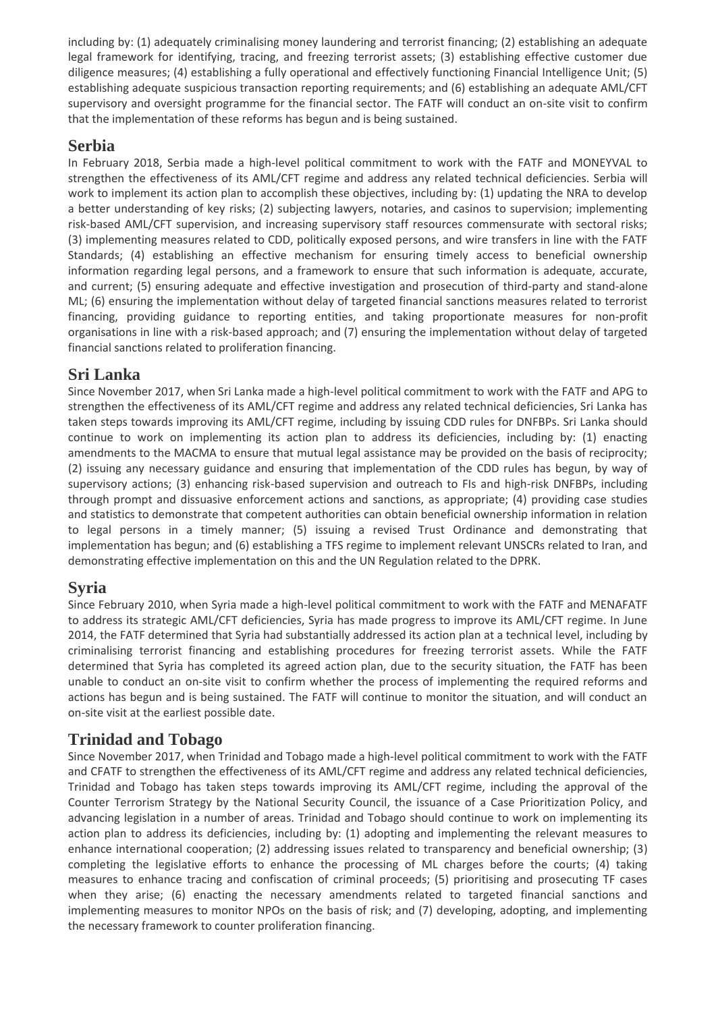including by: (1) adequately criminalising money laundering and terrorist financing; (2) establishing an adequate legal framework for identifying, tracing, and freezing terrorist assets; (3) establishing effective customer due diligence measures; (4) establishing a fully operational and effectively functioning Financial Intelligence Unit; (5) establishing adequate suspicious transaction reporting requirements; and (6) establishing an adequate AML/CFT supervisory and oversight programme for the financial sector. The FATF will conduct an on-site visit to confirm that the implementation of these reforms has begun and is being sustained.

### **Serbia**

In February 2018, Serbia made a high-level political commitment to work with the FATF and MONEYVAL to strengthen the effectiveness of its AML/CFT regime and address any related technical deficiencies. Serbia will work to implement its action plan to accomplish these objectives, including by: (1) updating the NRA to develop a better understanding of key risks; (2) subjecting lawyers, notaries, and casinos to supervision; implementing risk-based AML/CFT supervision, and increasing supervisory staff resources commensurate with sectoral risks; (3) implementing measures related to CDD, politically exposed persons, and wire transfers in line with the FATF Standards; (4) establishing an effective mechanism for ensuring timely access to beneficial ownership information regarding legal persons, and a framework to ensure that such information is adequate, accurate, and current; (5) ensuring adequate and effective investigation and prosecution of third-party and stand-alone ML; (6) ensuring the implementation without delay of targeted financial sanctions measures related to terrorist financing, providing guidance to reporting entities, and taking proportionate measures for non-profit organisations in line with a risk-based approach; and (7) ensuring the implementation without delay of targeted financial sanctions related to proliferation financing.

### **Sri Lanka**

Since November 2017, when Sri Lanka made a high-level political commitment to work with the FATF and APG to strengthen the effectiveness of its AML/CFT regime and address any related technical deficiencies, Sri Lanka has taken steps towards improving its AML/CFT regime, including by issuing CDD rules for DNFBPs. Sri Lanka should continue to work on implementing its action plan to address its deficiencies, including by: (1) enacting amendments to the MACMA to ensure that mutual legal assistance may be provided on the basis of reciprocity; (2) issuing any necessary guidance and ensuring that implementation of the CDD rules has begun, by way of supervisory actions; (3) enhancing risk-based supervision and outreach to FIs and high-risk DNFBPs, including through prompt and dissuasive enforcement actions and sanctions, as appropriate; (4) providing case studies and statistics to demonstrate that competent authorities can obtain beneficial ownership information in relation to legal persons in a timely manner; (5) issuing a revised Trust Ordinance and demonstrating that implementation has begun; and (6) establishing a TFS regime to implement relevant UNSCRs related to Iran, and demonstrating effective implementation on this and the UN Regulation related to the DPRK.

# **Syria**

Since February 2010, when Syria made a high-level political commitment to work with the FATF and MENAFATF to address its strategic AML/CFT deficiencies, Syria has made progress to improve its AML/CFT regime. In June 2014, the FATF determined that Syria had substantially addressed its action plan at a technical level, including by criminalising terrorist financing and establishing procedures for freezing terrorist assets. While the FATF determined that Syria has completed its agreed action plan, due to the security situation, the FATF has been unable to conduct an on-site visit to confirm whether the process of implementing the required reforms and actions has begun and is being sustained. The FATF will continue to monitor the situation, and will conduct an on-site visit at the earliest possible date.

# **Trinidad and Tobago**

Since November 2017, when Trinidad and Tobago made a high-level political commitment to work with the FATF and CFATF to strengthen the effectiveness of its AML/CFT regime and address any related technical deficiencies, Trinidad and Tobago has taken steps towards improving its AML/CFT regime, including the approval of the Counter Terrorism Strategy by the National Security Council, the issuance of a Case Prioritization Policy, and advancing legislation in a number of areas. Trinidad and Tobago should continue to work on implementing its action plan to address its deficiencies, including by: (1) adopting and implementing the relevant measures to enhance international cooperation; (2) addressing issues related to transparency and beneficial ownership; (3) completing the legislative efforts to enhance the processing of ML charges before the courts; (4) taking measures to enhance tracing and confiscation of criminal proceeds; (5) prioritising and prosecuting TF cases when they arise; (6) enacting the necessary amendments related to targeted financial sanctions and implementing measures to monitor NPOs on the basis of risk; and (7) developing, adopting, and implementing the necessary framework to counter proliferation financing.